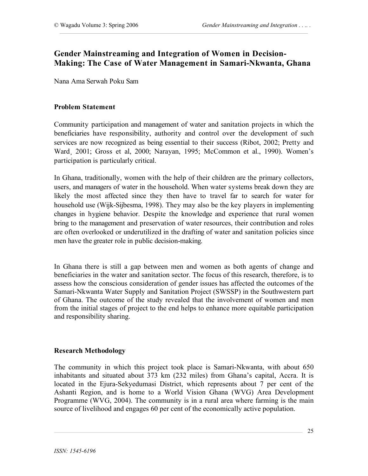# **Gender Mainstreaming and Integration of Women in Decision-Making: The Case of Water Management in Samari-Nkwanta, Ghana**

Nana Ama Serwah Poku Sam

### **Problem Statement**

Community participation and management of water and sanitation projects in which the beneficiaries have responsibility, authority and control over the development of such services are now recognized as being essential to their success (Ribot, 2002; Pretty and Ward, 2001; Gross et al, 2000; Narayan, 1995; McCommon et al., 1990). Women's participation is particularly critical.

In Ghana, traditionally, women with the help of their children are the primary collectors, users, and managers of water in the household. When water systems break down they are likely the most affected since they then have to travel far to search for water for household use (Wijk-Sijbesma, 1998). They may also be the key players in implementing changes in hygiene behavior. Despite the knowledge and experience that rural women bring to the management and preservation of water resources, their contribution and roles are often overlooked or underutilized in the drafting of water and sanitation policies since men have the greater role in public decision-making.

In Ghana there is still a gap between men and women as both agents of change and beneficiaries in the water and sanitation sector. The focus of this research, therefore, is to assess how the conscious consideration of gender issues has affected the outcomes of the Samari-Nkwanta Water Supply and Sanitation Project (SWSSP) in the Southwestern part of Ghana. The outcome of the study revealed that the involvement of women and men from the initial stages of project to the end helps to enhance more equitable participation and responsibility sharing.

#### **Research Methodology**

The community in which this project took place is Samari-Nkwanta, with about 650 inhabitants and situated about 373 km (232 miles) from Ghana's capital, Accra. It is located in the Ejura-Sekyedumasi District, which represents about 7 per cent of the Ashanti Region, and is home to a World Vision Ghana (WVG) Area Development Programme (WVG, 2004). The community is in a rural area where farming is the main source of livelihood and engages 60 per cent of the economically active population.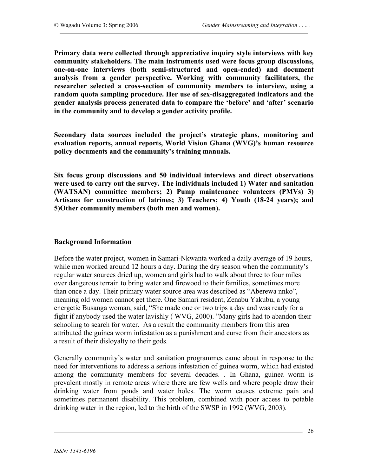**Primary data were collected through appreciative inquiry style interviews with key community stakeholders. The main instruments used were focus group discussions, one-on-one interviews (both semi-structured and open-ended) and document analysis from a gender perspective. Working with community facilitators, the researcher selected a cross-section of community members to interview, using a random quota sampling procedure. Her use of sex-disaggregated indicators and the gender analysis process generated data to compare the 'before' and 'after' scenario in the community and to develop a gender activity profile.**

**Secondary data sources included the project's strategic plans, monitoring and evaluation reports, annual reports, World Vision Ghana (WVG)'s human resource policy documents and the community's training manuals.** 

**Six focus group discussions and 50 individual interviews and direct observations were used to carry out the survey. The individuals included 1) Water and sanitation (WATSAN) committee members; 2) Pump maintenance volunteers (PMVs) 3) Artisans for construction of latrines; 3) Teachers; 4) Youth (18-24 years); and 5)Other community members (both men and women).**

#### **Background Information**

Before the water project, women in Samari-Nkwanta worked a daily average of 19 hours, while men worked around 12 hours a day. During the dry season when the community's regular water sources dried up, women and girls had to walk about three to four miles over dangerous terrain to bring water and firewood to their families, sometimes more than once a day. Their primary water source area was described as "Aberewa nnko", meaning old women cannot get there. One Samari resident, Zenabu Yakubu, a young energetic Busanga woman, said, "She made one or two trips a day and was ready for a fight if anybody used the water lavishly ( WVG, 2000). "Many girls had to abandon their schooling to search for water. As a result the community members from this area attributed the guinea worm infestation as a punishment and curse from their ancestors as a result of their disloyalty to their gods.

Generally community's water and sanitation programmes came about in response to the need for interventions to address a serious infestation of guinea worm, which had existed among the community members for several decades. . In Ghana, guinea worm is prevalent mostly in remote areas where there are few wells and where people draw their drinking water from ponds and water holes. The worm causes extreme pain and sometimes permanent disability. This problem, combined with poor access to potable drinking water in the region, led to the birth of the SWSP in 1992 (WVG, 2003).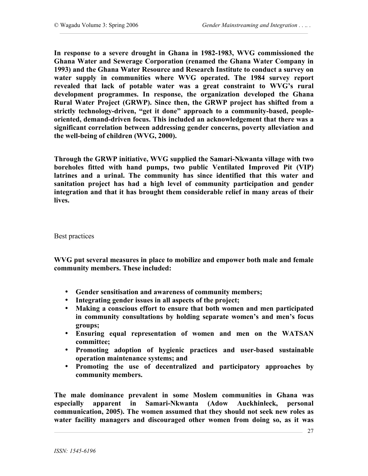**In response to a severe drought in Ghana in 1982-1983, WVG commissioned the Ghana Water and Sewerage Corporation (renamed the Ghana Water Company in 1993) and the Ghana Water Resource and Research Institute to conduct a survey on water supply in communities where WVG operated. The 1984 survey report revealed that lack of potable water was a great constraint to WVG's rural development programmes. In response, the organization developed the Ghana Rural Water Project (GRWP). Since then, the GRWP project has shifted from a strictly technology-driven, "get it done" approach to a community-based, peopleoriented, demand-driven focus. This included an acknowledgement that there was a significant correlation between addressing gender concerns, poverty alleviation and the well-being of children (WVG, 2000).**

**Through the GRWP initiative, WVG supplied the Samari-Nkwanta village with two boreholes fitted with hand pumps, two public Ventilated Improved Pit (VIP) latrines and a urinal. The community has since identified that this water and sanitation project has had a high level of community participation and gender integration and that it has brought them considerable relief in many areas of their lives.** 

Best practices

**WVG put several measures in place to mobilize and empower both male and female community members. These included:**

- **Gender sensitisation and awareness of community members;**
- **Integrating gender issues in all aspects of the project;**
- **Making a conscious effort to ensure that both women and men participated in community consultations by holding separate women's and men's focus groups;**
- **Ensuring equal representation of women and men on the WATSAN committee;**
- **Promoting adoption of hygienic practices and user-based sustainable operation maintenance systems; and**
- **Promoting the use of decentralized and participatory approaches by community members.**

**The male dominance prevalent in some Moslem communities in Ghana was especially apparent in Samari-Nkwanta (Adow Auckhinleck, personal communication, 2005). The women assumed that they should not seek new roles as water facility managers and discouraged other women from doing so, as it was**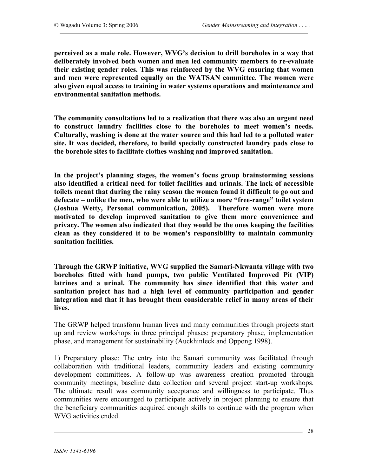**perceived as a male role. However, WVG's decision to drill boreholes in a way that deliberately involved both women and men led community members to re-evaluate their existing gender roles. This was reinforced by the WVG ensuring that women and men were represented equally on the WATSAN committee. The women were also given equal access to training in water systems operations and maintenance and environmental sanitation methods.** 

**The community consultations led to a realization that there was also an urgent need to construct laundry facilities close to the boreholes to meet women's needs. Culturally, washing is done at the water source and this had led to a polluted water site. It was decided, therefore, to build specially constructed laundry pads close to the borehole sites to facilitate clothes washing and improved sanitation.**

**In the project's planning stages, the women's focus group brainstorming sessions also identified a critical need for toilet facilities and urinals. The lack of accessible toilets meant that during the rainy season the women found it difficult to go out and defecate – unlike the men, who were able to utilize a more "free-range" toilet system (Joshua Wetty, Personal communication, 2005). Therefore women were more motivated to develop improved sanitation to give them more convenience and privacy. The women also indicated that they would be the ones keeping the facilities clean as they considered it to be women's responsibility to maintain community sanitation facilities.**

**Through the GRWP initiative, WVG supplied the Samari-Nkwanta village with two boreholes fitted with hand pumps, two public Ventilated Improved Pit (VIP) latrines and a urinal. The community has since identified that this water and sanitation project has had a high level of community participation and gender integration and that it has brought them considerable relief in many areas of their lives.** 

The GRWP helped transform human lives and many communities through projects start up and review workshops in three principal phases: preparatory phase, implementation phase, and management for sustainability (Auckhinleck and Oppong 1998).

1) Preparatory phase: The entry into the Samari community was facilitated through collaboration with traditional leaders, community leaders and existing community development committees. A follow-up was awareness creation promoted through community meetings, baseline data collection and several project start-up workshops. The ultimate result was community acceptance and willingness to participate. Thus communities were encouraged to participate actively in project planning to ensure that the beneficiary communities acquired enough skills to continue with the program when WVG activities ended.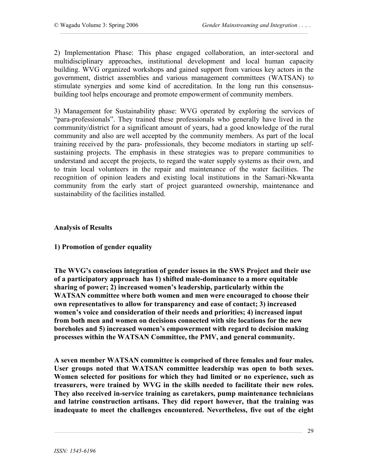2) Implementation Phase: This phase engaged collaboration, an inter-sectoral and multidisciplinary approaches, institutional development and local human capacity building. WVG organized workshops and gained support from various key actors in the government, district assemblies and various management committees (WATSAN) to stimulate synergies and some kind of accreditation. In the long run this consensusbuilding tool helps encourage and promote empowerment of community members.

3) Management for Sustainability phase: WVG operated by exploring the services of "para-professionals". They trained these professionals who generally have lived in the community/district for a significant amount of years, had a good knowledge of the rural community and also are well accepted by the community members. As part of the local training received by the para- professionals, they become mediators in starting up selfsustaining projects. The emphasis in these strategies was to prepare communities to understand and accept the projects, to regard the water supply systems as their own, and to train local volunteers in the repair and maintenance of the water facilities. The recognition of opinion leaders and existing local institutions in the Samari-Nkwanta community from the early start of project guaranteed ownership, maintenance and sustainability of the facilities installed.

## **Analysis of Results**

#### **1) Promotion of gender equality**

**The WVG's conscious integration of gender issues in the SWS Project and their use of a participatory approach has 1) shifted male-dominance to a more equitable sharing of power; 2) increased women's leadership, particularly within the WATSAN committee where both women and men were encouraged to choose their own representatives to allow for transparency and ease of contact; 3) increased women's voice and consideration of their needs and priorities; 4) increased input from both men and women on decisions connected with site locations for the new boreholes and 5) increased women's empowerment with regard to decision making processes within the WATSAN Committee, the PMV, and general community.**

**A seven member WATSAN committee is comprised of three females and four males. User groups noted that WATSAN committee leadership was open to both sexes. Women selected for positions for which they had limited or no experience, such as treasurers, were trained by WVG in the skills needed to facilitate their new roles. They also received in-service training as caretakers, pump maintenance technicians and latrine construction artisans. They did report however, that the training was inadequate to meet the challenges encountered. Nevertheless, five out of the eight**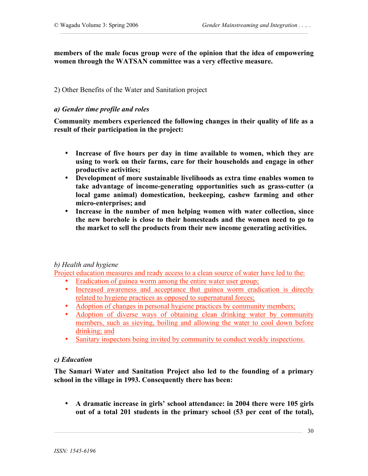**members of the male focus group were of the opinion that the idea of empowering women through the WATSAN committee was a very effective measure.** 

#### 2) Other Benefits of the Water and Sanitation project

#### *a) Gender time profile and roles*

**Community members experienced the following changes in their quality of life as a result of their participation in the project:**

- **Increase of five hours per day in time available to women, which they are using to work on their farms, care for their households and engage in other productive activities;**
- **Development of more sustainable livelihoods as extra time enables women to take advantage of income-generating opportunities such as grass-cutter (a local game animal) domestication, beekeeping, cashew farming and other micro-enterprises; and**
- **Increase in the number of men helping women with water collection, since the new borehole is close to their homesteads and the women need to go to the market to sell the products from their new income generating activities.**

#### *b) Health and hygiene*

Project education measures and ready access to a clean source of water have led to the:

- Eradication of guinea worm among the entire water user group;
- Increased awareness and acceptance that guinea worm eradication is directly related to hygiene practices as opposed to supernatural forces;
- Adoption of changes in personal hygiene practices by community members;
- Adoption of diverse ways of obtaining clean drinking water by community members, such as sieving, boiling and allowing the water to cool down before drinking; and
- Sanitary inspectors being invited by community to conduct weekly inspections.

#### *c) Education*

**The Samari Water and Sanitation Project also led to the founding of a primary school in the village in 1993. Consequently there has been:**

• **A dramatic increase in girls' school attendance: in 2004 there were 105 girls out of a total 201 students in the primary school (53 per cent of the total),**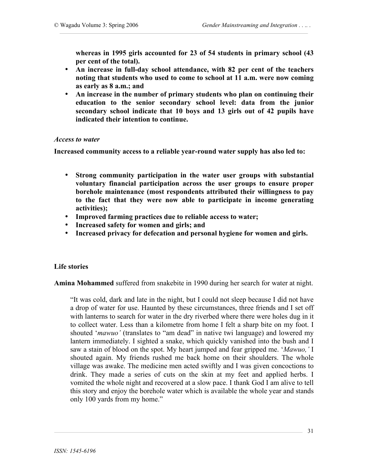**whereas in 1995 girls accounted for 23 of 54 students in primary school (43 per cent of the total).** 

- **An increase in full-day school attendance, with 82 per cent of the teachers noting that students who used to come to school at 11 a.m. were now coming as early as 8 a.m.; and**
- **An increase in the number of primary students who plan on continuing their education to the senior secondary school level: data from the junior secondary school indicate that 10 boys and 13 girls out of 42 pupils have indicated their intention to continue.**

#### *Access to water*

**Increased community access to a reliable year-round water supply has also led to:**

- **Strong community participation in the water user groups with substantial voluntary financial participation across the user groups to ensure proper borehole maintenance (most respondents attributed their willingness to pay to the fact that they were now able to participate in income generating activities);**
- **Improved farming practices due to reliable access to water;**
- **Increased safety for women and girls; and**
- **Increased privacy for defecation and personal hygiene for women and girls.**

#### **Life stories**

**Amina Mohammed** suffered from snakebite in 1990 during her search for water at night.

"It was cold, dark and late in the night, but I could not sleep because I did not have a drop of water for use. Haunted by these circumstances, three friends and I set off with lanterns to search for water in the dry riverbed where there were holes dug in it to collect water. Less than a kilometre from home I felt a sharp bite on my foot. I shouted '*mawuo'* (translates to "am dead" in native twi language) and lowered my lantern immediately. I sighted a snake, which quickly vanished into the bush and I saw a stain of blood on the spot. My heart jumped and fear gripped me. '*Mawuo,'* I shouted again. My friends rushed me back home on their shoulders. The whole village was awake. The medicine men acted swiftly and I was given concoctions to drink. They made a series of cuts on the skin at my feet and applied herbs. I vomited the whole night and recovered at a slow pace. I thank God I am alive to tell this story and enjoy the borehole water which is available the whole year and stands only 100 yards from my home."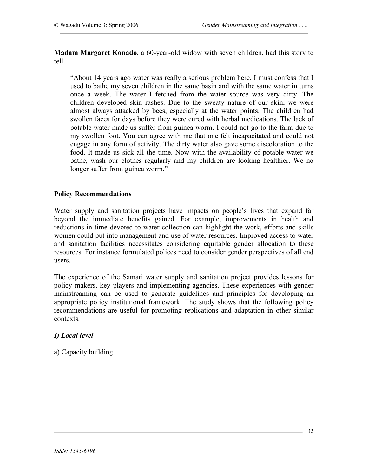**Madam Margaret Konado**, a 60-year-old widow with seven children, had this story to tell.

"About 14 years ago water was really a serious problem here. I must confess that I used to bathe my seven children in the same basin and with the same water in turns once a week. The water I fetched from the water source was very dirty. The children developed skin rashes. Due to the sweaty nature of our skin, we were almost always attacked by bees, especially at the water points. The children had swollen faces for days before they were cured with herbal medications. The lack of potable water made us suffer from guinea worm. I could not go to the farm due to my swollen foot. You can agree with me that one felt incapacitated and could not engage in any form of activity. The dirty water also gave some discoloration to the food. It made us sick all the time. Now with the availability of potable water we bathe, wash our clothes regularly and my children are looking healthier. We no longer suffer from guinea worm."

#### **Policy Recommendations**

Water supply and sanitation projects have impacts on people's lives that expand far beyond the immediate benefits gained. For example, improvements in health and reductions in time devoted to water collection can highlight the work, efforts and skills women could put into management and use of water resources. Improved access to water and sanitation facilities necessitates considering equitable gender allocation to these resources. For instance formulated polices need to consider gender perspectives of all end users.

The experience of the Samari water supply and sanitation project provides lessons for policy makers, key players and implementing agencies. These experiences with gender mainstreaming can be used to generate guidelines and principles for developing an appropriate policy institutional framework. The study shows that the following policy recommendations are useful for promoting replications and adaptation in other similar contexts.

#### *I) Local level*

a) Capacity building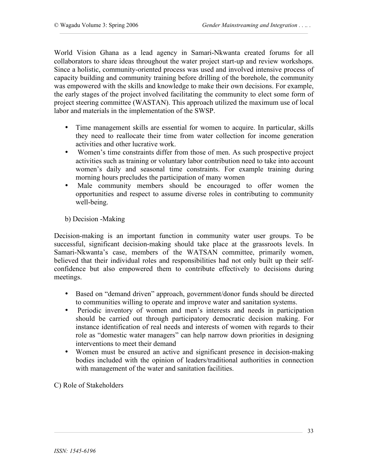World Vision Ghana as a lead agency in Samari-Nkwanta created forums for all collaborators to share ideas throughout the water project start-up and review workshops. Since a holistic, community-oriented process was used and involved intensive process of capacity building and community training before drilling of the borehole, the community was empowered with the skills and knowledge to make their own decisions. For example, the early stages of the project involved facilitating the community to elect some form of project steering committee (WASTAN). This approach utilized the maximum use of local labor and materials in the implementation of the SWSP.

- Time management skills are essential for women to acquire. In particular, skills they need to reallocate their time from water collection for income generation activities and other lucrative work.
- Women's time constraints differ from those of men. As such prospective project activities such as training or voluntary labor contribution need to take into account women's daily and seasonal time constraints. For example training during morning hours precludes the participation of many women
- Male community members should be encouraged to offer women the opportunities and respect to assume diverse roles in contributing to community well-being.

# b) Decision -Making

Decision-making is an important function in community water user groups. To be successful, significant decision-making should take place at the grassroots levels. In Samari-Nkwanta's case, members of the WATSAN committee, primarily women, believed that their individual roles and responsibilities had not only built up their selfconfidence but also empowered them to contribute effectively to decisions during meetings.

- Based on "demand driven" approach, government/donor funds should be directed to communities willing to operate and improve water and sanitation systems.
- Periodic inventory of women and men's interests and needs in participation should be carried out through participatory democratic decision making. For instance identification of real needs and interests of women with regards to their role as "domestic water managers" can help narrow down priorities in designing interventions to meet their demand
- Women must be ensured an active and significant presence in decision-making bodies included with the opinion of leaders/traditional authorities in connection with management of the water and sanitation facilities.

C) Role of Stakeholders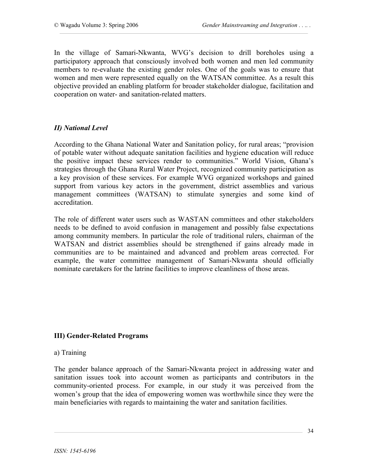In the village of Samari-Nkwanta, WVG's decision to drill boreholes using a participatory approach that consciously involved both women and men led community members to re-evaluate the existing gender roles. One of the goals was to ensure that women and men were represented equally on the WATSAN committee. As a result this objective provided an enabling platform for broader stakeholder dialogue, facilitation and cooperation on water- and sanitation-related matters.

# *II) National Level*

According to the Ghana National Water and Sanitation policy, for rural areas; "provision of potable water without adequate sanitation facilities and hygiene education will reduce the positive impact these services render to communities." World Vision, Ghana's strategies through the Ghana Rural Water Project, recognized community participation as a key provision of these services. For example WVG organized workshops and gained support from various key actors in the government, district assemblies and various management committees (WATSAN) to stimulate synergies and some kind of accreditation.

The role of different water users such as WASTAN committees and other stakeholders needs to be defined to avoid confusion in management and possibly false expectations among community members. In particular the role of traditional rulers, chairman of the WATSAN and district assemblies should be strengthened if gains already made in communities are to be maintained and advanced and problem areas corrected. For example, the water committee management of Samari-Nkwanta should officially nominate caretakers for the latrine facilities to improve cleanliness of those areas.

# **III) Gender-Related Programs**

#### a) Training

The gender balance approach of the Samari-Nkwanta project in addressing water and sanitation issues took into account women as participants and contributors in the community-oriented process. For example, in our study it was perceived from the women's group that the idea of empowering women was worthwhile since they were the main beneficiaries with regards to maintaining the water and sanitation facilities.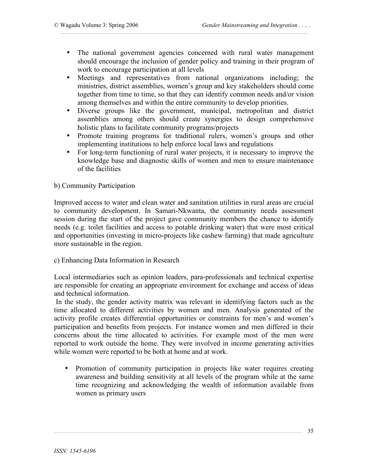- The national government agencies concerned with rural water management should encourage the inclusion of gender policy and training in their program of work to encourage participation at all levels
- Meetings and representatives from national organizations including; the ministries, district assemblies, women's group and key stakeholders should come together from time to time, so that they can identify common needs and/or vision among themselves and within the entire community to develop priorities.
- Diverse groups like the government, municipal, metropolitan and district assemblies among others should create synergies to design comprehensive holistic plans to facilitate community programs/projects
- Promote training programs for traditional rulers, women's groups and other implementing institutions to help enforce local laws and regulations
- For long-term functioning of rural water projects, it is necessary to improve the knowledge base and diagnostic skills of women and men to ensure maintenance of the facilities

## b) Community Participation

Improved access to water and clean water and sanitation utilities in rural areas are crucial to community development. In Samari-Nkwanta, the community needs assessment session during the start of the project gave community members the chance to identify needs (e.g. toilet facilities and access to potable drinking water) that were most critical and opportunities (investing in micro-projects like cashew farming) that made agriculture more sustainable in the region.

#### c) Enhancing Data Information in Research

Local intermediaries such as opinion leaders, para-professionals and technical expertise are responsible for creating an appropriate environment for exchange and access of ideas and technical information.

 In the study, the gender activity matrix was relevant in identifying factors such as the time allocated to different activities by women and men. Analysis generated of the activity profile creates differential opportunities or constraints for men's and women's participation and benefits from projects. For instance women and men differed in their concerns about the time allocated to activities. For example most of the men were reported to work outside the home. They were involved in income generating activities while women were reported to be both at home and at work.

• Promotion of community participation in projects like water requires creating awareness and building sensitivity at all levels of the program while at the same time recognizing and acknowledging the wealth of information available from women as primary users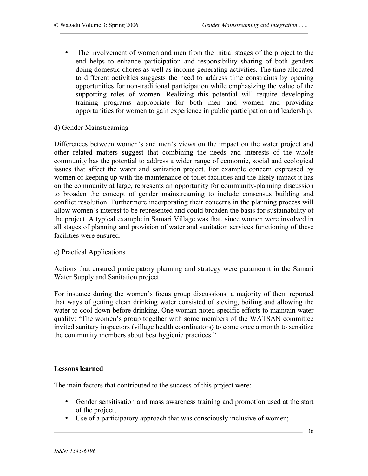• The involvement of women and men from the initial stages of the project to the end helps to enhance participation and responsibility sharing of both genders doing domestic chores as well as income-generating activities. The time allocated to different activities suggests the need to address time constraints by opening opportunities for non-traditional participation while emphasizing the value of the supporting roles of women. Realizing this potential will require developing training programs appropriate for both men and women and providing opportunities for women to gain experience in public participation and leadership.

#### d) Gender Mainstreaming

Differences between women's and men's views on the impact on the water project and other related matters suggest that combining the needs and interests of the whole community has the potential to address a wider range of economic, social and ecological issues that affect the water and sanitation project. For example concern expressed by women of keeping up with the maintenance of toilet facilities and the likely impact it has on the community at large, represents an opportunity for community-planning discussion to broaden the concept of gender mainstreaming to include consensus building and conflict resolution. Furthermore incorporating their concerns in the planning process will allow women's interest to be represented and could broaden the basis for sustainability of the project. A typical example in Samari Village was that, since women were involved in all stages of planning and provision of water and sanitation services functioning of these facilities were ensured.

#### e) Practical Applications

Actions that ensured participatory planning and strategy were paramount in the Samari Water Supply and Sanitation project.

For instance during the women's focus group discussions, a majority of them reported that ways of getting clean drinking water consisted of sieving, boiling and allowing the water to cool down before drinking. One woman noted specific efforts to maintain water quality: "The women's group together with some members of the WATSAN committee invited sanitary inspectors (village health coordinators) to come once a month to sensitize the community members about best hygienic practices."

#### **Lessons learned**

The main factors that contributed to the success of this project were:

- Gender sensitisation and mass awareness training and promotion used at the start of the project;
- Use of a participatory approach that was consciously inclusive of women;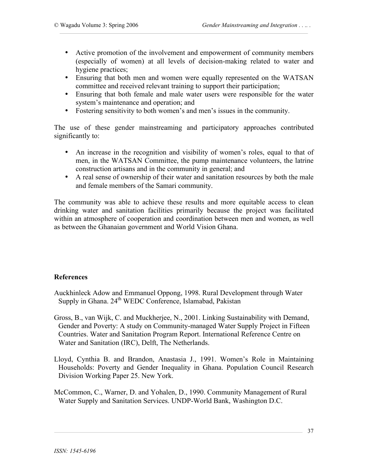- Active promotion of the involvement and empowerment of community members (especially of women) at all levels of decision-making related to water and hygiene practices;
- Ensuring that both men and women were equally represented on the WATSAN committee and received relevant training to support their participation;
- Ensuring that both female and male water users were responsible for the water system's maintenance and operation; and
- Fostering sensitivity to both women's and men's issues in the community.

The use of these gender mainstreaming and participatory approaches contributed significantly to:

- An increase in the recognition and visibility of women's roles, equal to that of men, in the WATSAN Committee, the pump maintenance volunteers, the latrine construction artisans and in the community in general; and
- A real sense of ownership of their water and sanitation resources by both the male and female members of the Samari community.

The community was able to achieve these results and more equitable access to clean drinking water and sanitation facilities primarily because the project was facilitated within an atmosphere of cooperation and coordination between men and women, as well as between the Ghanaian government and World Vision Ghana.

# **References**

- Auckhinleck Adow and Emmanuel Oppong, 1998. Rural Development through Water Supply in Ghana. 24<sup>th</sup> WEDC Conference, Islamabad, Pakistan
- Gross, B., van Wijk, C. and Muckherjee, N., 2001. Linking Sustainability with Demand, Gender and Poverty: A study on Community-managed Water Supply Project in Fifteen Countries. Water and Sanitation Program Report. International Reference Centre on Water and Sanitation (IRC), Delft, The Netherlands.
- Lloyd, Cynthia B. and Brandon, Anastasia J., 1991. Women's Role in Maintaining Households: Poverty and Gender Inequality in Ghana. Population Council Research Division Working Paper 25. New York.
- McCommon, C., Warner, D. and Yohalen, D., 1990. Community Management of Rural Water Supply and Sanitation Services. UNDP-World Bank, Washington D.C.